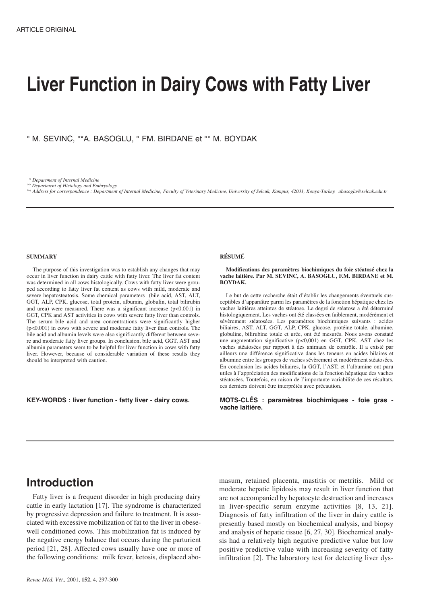# **Liver Function in Dairy Cows with Fatty Liver**

° M. SEVINC, °\*A. BASOGLU, ° FM. BIRDANE et °° M. BOYDAK

*° Department of Internal Medicine*

*°° Department of Histology and Embryology °\* Address for correspondence : Department of Internal Medicine, Faculty of Veterinary Medicine, University of Selcuk, Kampus, 42031, Konya-Turkey. abasoglu@selcuk.edu.tr*

#### **SUMMARY**

The purpose of this investigation was to establish any changes that may occur in liver function in dairy cattle with fatty liver. The liver fat content was determined in all cows histologically. Cows with fatty liver were grouped according to fatty liver fat content as cows with mild, moderate and severe hepatosteatosis. Some chemical parameters (bile acid, AST, ALT, GGT, ALP, CPK, glucose, total protein, albumin, globulin, total bilirubin and urea) were measured. There was a significant increase (p<0.001) in GGT, CPK and AST activities in cows with severe fatty liver than controls. The serum bile acid and urea concentrations were significantly higher (p<0.001) in cows with severe and moderate fatty liver than controls. The bile acid and albumin levels were also significantly different between severe and moderate fatty liver groups. In conclusion, bile acid, GGT, AST and albumin parameters seem to be helpful for liver function in cows with fatty liver. However, because of considerable variation of these results they should be interpreted with caution.

**KEY-WORDS : liver function - fatty liver - dairy cows.**

#### **RÉSUMÉ**

**Modifications des paramètres biochimiques du foie stéatosé chez la vache laitière. Par M. SEVINC, A. BASOGLU, F.M. BIRDANE et M. BOYDAK.**

Le but de cette recherche était d'établir les changements éventuels susceptibles d'apparaître parmi les paramètres de la fonction hépatique chez les vaches laitières atteintes de stéatose. Le degré de stéatose a été déterminé histologiquement. Les vaches ont été classées en faiblement, modérément et sévèrement stéatosées. Les paramètres biochimiques suivants : acides biliaires, AST, ALT, GGT, ALP, CPK, glucose, protéine totale, albumine, globuline, bilirubine totale et urée, ont été mesurés. Nous avons constaté une augmentation significative (p<0,001) en GGT, CPK, AST chez les vaches stéatosées par rapport à des animaux de contrôle. Il a existé par ailleurs une différence significative dans les teneurs en acides bilaires et albumine entre les groupes de vaches sévèrement et modérément stéatosées. En conclusion les acides biliaires, la GGT, l'AST, et l'albumine ont paru utiles à l'appréciation des modifications de la fonction hépatique des vaches stéatosées. Toutefois, en raison de l'importante variabilité de ces résultats, ces derniers doivent être interprétés avec précaution.

**MOTS-CLÉS : paramètres biochimiques - foie gras vache laitière.**

## **Introduction**

Fatty liver is a frequent disorder in high producing dairy cattle in early lactation [17]. The syndrome is characterized by progressive depression and failure to treatment. It is associated with excessive mobilization of fat to the liver in obesewell conditioned cows. This mobilization fat is induced by the negative energy balance that occurs during the parturient period [21, 28]. Affected cows usually have one or more of the following conditions: milk fever, ketosis, displaced abomasum, retained placenta, mastitis or metritis. Mild or moderate hepatic lipidosis may result in liver function that are not accompanied by hepatocyte destruction and increases in liver-specific serum enzyme activities [8, 13, 21]. Diagnosis of fatty infiltration of the liver in dairy cattle is presently based mostly on biochemical analysis, and biopsy and analysis of hepatic tissue [6, 27, 30]. Biochemical analysis had a relatively high negative predictive value but low positive predictive value with increasing severity of fatty infiltration [2]. The laboratory test for detecting liver dys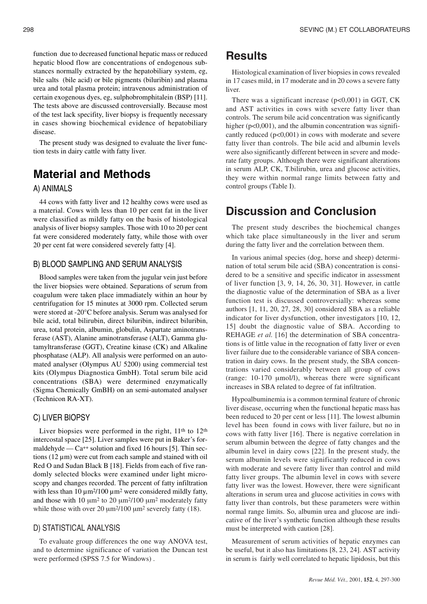function due to decreased functional hepatic mass or reduced hepatic blood flow are concentrations of endogenous substances normally extracted by the hepatobiliary system, eg, bile salts (bile acid) or bile pigments (biluribin) and plasma urea and total plasma protein; intravenous administration of certain exogenous dyes, eg, sulphobromphitalein (BSP) [11]. The tests above are discussed controversially. Because most of the test lack specifity, liver biopsy is frequently necessary in cases showing biochemical evidence of hepatobiliary disease.

The present study was designed to evaluate the liver function tests in dairy cattle with fatty liver.

# **Material and Methods**

## A) ANIMALS

44 cows with fatty liver and 12 healthy cows were used as a material. Cows with less than 10 per cent fat in the liver were classified as mildly fatty on the basis of histological analysis of liver biopsy samples. Those with 10 to 20 per cent fat were considered moderately fatty, while those with over 20 per cent fat were considered severely fatty [4].

## B) BLOOD SAMPLING AND SERUM ANALYSIS

Blood samples were taken from the jugular vein just before the liver biopsies were obtained. Separations of serum from coagulum were taken place immadiately within an hour by centrifugation for 15 minutes at 3000 rpm. Collected serum were stored at -20°C before analysis. Serum was analysed for bile acid, total bilirubin, direct biluribin, indirect biluribin, urea, total protein, albumin, globulin, Aspartate aminotransferase (AST), Alanine aminotransferase (ALT), Gamma glutamyltransferase (GGT), Creatine kinase (CK) and Alkaline phosphatase (ALP). All analysis were performed on an automated analyser (Olympus AU 5200) using commercial test kits (Olympus Diagnostica GmbH). Total serum bile acid concentrations (SBA) were determined enzymatically (Sigma Chemically GmBH) on an semi-automated analyser (Technicon RA-XT).

## C) LIVER BIOPSY

Liver biopsies were performed in the right,  $11<sup>th</sup>$  to  $12<sup>th</sup>$ intercostal space [25]. Liver samples were put in Baker's formaldehyde —  $Ca^{++}$  solution and fixed 16 hours [5]. Thin sections  $(12 \mu m)$  were cut from each sample and stained with oil Red O and Sudan Black B [18]. Fields from each of five randomly selected blocks were examined under light microscopy and changes recorded. The percent of fatty infiltration with less than 10  $\mu$ m<sup>2</sup>/100  $\mu$ m<sup>2</sup> were considered mildly fatty, and those with 10  $\mu$ m<sup>2</sup> to 20  $\mu$ m<sup>2</sup>/100  $\mu$ m<sup>2</sup> moderately fatty while those with over 20  $\mu$ m<sup>2</sup>/100  $\mu$ m<sup>2</sup> severely fatty (18).

#### D) STATISTICAL ANALYSIS

To evaluate group differences the one way ANOVA test, and to determine significance of variation the Duncan test were performed (SPSS 7.5 for Windows) .

## **Results**

Histological examination of liver biopsies in cows revealed in 17 cases mild, in 17 moderate and in 20 cows a severe fatty liver.

There was a significant increase  $(p<0,001)$  in GGT, CK and AST activities in cows with severe fatty liver than controls. The serum bile acid concentration was significantly higher (p<0,001), and the albumin concentration was significantly reduced (p<0,001) in cows with moderate and severe fatty liver than controls. The bile acid and albumin levels were also significantly different between in severe and moderate fatty groups. Although there were significant alterations in serum ALP, CK, T.bilirubin, urea and glucose activities, they were within normal range limits between fatty and control groups (Table I).

## **Discussion and Conclusion**

The present study describes the biochemical changes which take place simultaneously in the liver and serum during the fatty liver and the correlation between them.

In various animal species (dog, horse and sheep) determination of total serum bile acid (SBA) concentration is considered to be a sensitive and specific indicator in assessment of liver function [3, 9, 14, 26, 30, 31]. However, in cattle the diagnostic value of the determination of SBA as a liver function test is discussed controversially: whereas some authors [1, 11, 20, 27, 28, 30] considered SBA as a reliable indicator for liver dysfunction, other investigators [10, 12, 15] doubt the diagnostic value of SBA. According to REHAGE *et al.* [16] the determination of SBA concentrations is of little value in the recognation of fatty liver or even liver failure due to the considerable variance of SBA concentration in dairy cows. In the present study, the SBA concentrations varied considerably between all group of cows (range: 10-170 µmol/l), whereas there were significant increases in SBA related to degree of fat infiltration.

Hypoalbuminemia is a common terminal feature of chronic liver disease, occurring when the functional hepatic mass has been reduced to 20 per cent or less [11]. The lowest albumin level has been found in cows with liver failure, but no in cows with fatty liver [16]. There is negative correlation in serum albumin between the degree of fatty changes and the albumin level in dairy cows [22]. In the present study, the serum albumin levels were significantly reduced in cows with moderate and severe fatty liver than control and mild fatty liver groups. The albumin level in cows with severe fatty liver was the lowest. However, there were significant alterations in serum urea and glucose activities in cows with fatty liver than controls, but these parameters were within normal range limits. So, albumin urea and glucose are indicative of the liver's synthetic function although these results must be interpreted with caution [28].

Measurement of serum activities of hepatic enzymes can be useful, but it also has limitations [8, 23, 24]. AST activity in serum is fairly well correlated to hepatic lipidosis, but this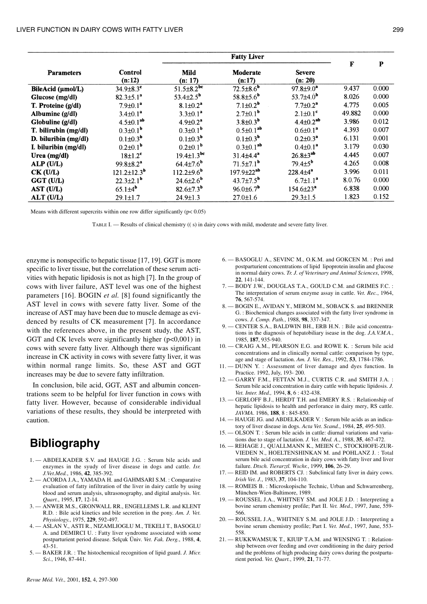#### LIVER FUNCTION IN DAIRY COWS WITH FATTY LIVER 299

|                      |                             | <b>Fatty Liver</b>           |                             |                             |              |       |
|----------------------|-----------------------------|------------------------------|-----------------------------|-----------------------------|--------------|-------|
| <b>Parameters</b>    | Control<br>(n:12)           | <b>Mild</b><br>(n: 17)       | Moderate<br>(n:17)          | <b>Severe</b><br>(n: 20)    | $\mathbf{F}$ | P     |
| BileAcid (µmol/L)    | $34.9 \pm 8.3$ <sup>c</sup> | $51.5 \pm 8.2^{bc}$          | $72.5 \pm 8.6$ <sup>b</sup> | $97.8 \pm 9.0^2$            | 9.437        | 0.000 |
| Glucose (mg/dl)      | $82.3 \pm 5.1^a$            | 53.4 $\pm$ 2.5 <sup>b</sup>  | 58.8 $\pm$ 5.6 <sup>b</sup> | 53.7 $\pm$ 4.0 <sup>b</sup> | 8.026        | 0.000 |
| T. Proteine (g/dl)   | $7.9 \pm 0.1^a$             | $8.1 \pm 0.2^a$              | $7.1 \pm 0.2^b$             | $7.7 \pm 0.2^a$             | 4.775        | 0.005 |
| Albumine $(g/d)$     | $3.4 \pm 0.1^a$             | $3.3 \pm 0.1^a$              | $2.7 \pm 0.1^{\rm b}$       | $2.1 \pm 0.1^c$             | 49.882       | 0.000 |
| Globuline (g/dl)     | $4.5 \pm 0.1^{ab}$          | $4.9 \pm 0.2^a$              | $3.8 \pm 0.3^{b}$           | $4.4 \pm 0.2^{ab}$          | 3.986        | 0.012 |
| T. bilirubin (mg/dl) | $0.3 \pm 0.1^b$             | $0.3 \pm 0.1^b$              | $0.5 \pm 0.1^{ab}$          | $0.6 \pm 0.1^a$             | 4.393        | 0.007 |
| D. biluribin (mg/dl) | $0.1 \pm 0.3^{b}$           | $0.1 \pm 0.3^{b}$            | $0.1 \pm 0.3^{b}$           | $0.2 \pm 0.3^a$             | 6.131        | 0.001 |
| I. biluribin (mg/dl) | $0.2\pm0.1^{\mathrm{b}}$    | $0.2 \pm 0.1^{\circ}$        | $0.3 \pm 0.1^{ab}$          | $0.4 \pm 0.1^a$             | 3.179        | 0.030 |
| Urea (mg/dl)         | $18\pm1.2$ <sup>c</sup>     | $19.4 \pm 1.3^{bc}$          | $31.4{\pm}4.4^{a}$          | $26.8 \pm 3^{ab}$           | 4.445        | 0.007 |
| ALP (U/L)            | $99.8 \pm 8.2^a$            | $64.4{\pm}7.6^{b}$           | $71.5 \pm 7.1^{\circ}$      | $79.4{\pm}5^{\rm b}$        | 4.265        | 0.008 |
| $CK$ (U/L)           | $121.2 \pm 12.3^{\circ}$    | $112.2 \pm 9.6$ <sup>b</sup> | $197.9 \pm 22^{ab}$         | $228.4 \pm 4^a$             | 3.996        | 0.011 |
| GGT (U/L)            | $22.3 \pm 2.1^{\circ}$      | $24.6{\pm}2.6^{\text{b}}$    | $43.7 \pm 7.5^{\text{b}}$   | $6.7 \pm 1.1^a$             | 8.0.76       | 0.000 |
| AST (U/L)            | $65.1\pm4^b$                | $82.6{\pm}7.3^{b}$           | $96.0\pm6.7^{\circ}$        | $154.6 \pm 23^{a}$          | 6.838        | 0.000 |
| ALT (U/L)            | $29.1 \pm 1.7$              | $24.9 \pm 1.3$               | $27.0 \pm 1.6$              | $29.3 \pm 1.5$              | 1.823        | 0.152 |

Means with different supercrits within one row differ significantly ( $p < 0.05$ )

TABLE I. — Results of clinical chemistry (( s) in dairy cows with mild, moderate and severe fatty liver.

enzyme is nonspecific to hepatic tissue [17, 19]. GGT is more specific to liver tissue, but the correlation of these serum activities with hepatic lipidosis is not as high [7]. In the group of cows with liver failure, AST level was one of the highest parameters [16]. BOGIN *et al.* [8] found significantly the AST level in cows with severe fatty liver. Some of the increase of AST may have been due to muscle demage as evidenced by results of CK measurement [7]. In accordance with the references above, in the present study, the AST, GGT and CK levels were significantly higher  $(p<0,001)$  in cows with severe fatty liver. Although there was significant increase in CK activity in cows with severe fatty liver, it was within normal range limits. So, these AST and GGT increases may be due to severe fatty infiltration.

In conclusion, bile acid, GGT, AST and albumin concentrations seem to be helpful for liver function in cows with fatty liver. However, because of considerable individual variations of these results, they should be interpreted with caution.

# **Bibliography**

- 1. ABDELKADER S.V. and HAUGE J.G. : Serum bile acids and enzymes in the syudy of liver disease in dogs and cattle. *Isr. J.Vet.Med.*, 1986, **42**, 385-392.
- 2. ACORDA J.A., YAMADA H. and GAHMSARI S.M. : Comparative evaluation of fatty infiltration of the liver in dairy cattle by using blood and serum analysis, ultrasonography, and digital analysis. *Vet. Quart.*, 1995, **17**, 12-14.
- 3. ANWER M.S., GRONWALL RR., ENGELLEMS L.R. and KLENT R.D. : Bile acid kinetics and bile secretion in the pony. *Am. J. Vet. Physiology.*, 1975, **229**, 592-497.
- 4. ASLAN V., ASTI R., NIZAMLIOGLU M., TEKELI T., BASOGLU A. and DEMIRCI U. : Fatty liver syndrome associated with some postparturient period disease. Selçuk Üniv. *Vet. Fak. Derg.*, 1988, **4**, 43-51.
- 5. BAKER J.R. : The histochemical recognition of lipid guard. *J. Micr. Sci.*, 1946, 87-441.
- 6. BASOGLU A., SEVINC M., O.K.M. and GOKCEN M. : Peri and postparturient concentrations of lipid lipoprotein insulin and glucose in normal dairy cows. *Tr. J. of Veterinary and Animal Sciences*, 1998, **22**, 141-144.
- 7. BODY J.W., DOUGLAS T.A., GOULD C.M. and GRIMES F.C. : The interpretation of serum enzyme assay in cattle. *Vet. Rec.*, 1964, **76**, 567-574.
- 8. BOGIN E., AVIDAN Y., MEROM M., SOBACK S. and BRENNER G. : Biochemical changes associated with the fatty liver syndrome in cows. *J. Comp. Path.*, 1988, **98**, 337-347.
- 9. CENTER S.A., BALDWIN BH., ERB H.N. : Bile acid concentrations in the diagnosis of hepatobiliary isease in the dog. *J.A.V.M.A.*, 1985, **187**, 935-940.
- 10. CRAIG A.M., PEARSON E.G. and ROWE K. : Serum bile acid concentrations and in clinically normal cattle: comparison by type, age and stage of lactation. *Am. J. Vet. Res.*, 1992, **53**, 1784-1786.
- 11. DUNN Y. : Assessment of liver damage and dyes function. In Practice. 1992, July, 193- 200.
- 12. GARRY F.M., FETTAN M.J., CURTIS C.R. and SMITH J.A. : Serum bile acid concentration in dairy cattle with hepatic lipidosis. *J. Vet. Inter. Med.,* 1994, **8**, 6 : 432-438.
- 13. GERLOFF B.J., HERDT T.H. and EMERY R.S. : Relationship of hepatic lipidosis to health and perforance in dairy mery, RS cattle. *JAVMA*. 1986, **188**, 8 : 845-850.
- 14. HAUGE JG. and ABDELKADER V. : Serum bile acids as an indicatory of liver disease in dogs. *Acta Vet. Scand.*, 1984, **25**, 495-503.
- 15. OLSON T. : Serum bile acids in cattle: diurnal variations and variations due to stage of lactation. *J. Vet. Med. A.*, 1988, **35**, 467-472.
- 16. REHAGE J., QUALLMANN K., MEIEN C., STOCKHOFE-ZUR-VIEDEN N., HOELTENSHINKAN M. and POHLANZ J. : Total serum bile acid concentration in dairy cows with fatty liver and liver failure. *Dtsch. Tierarztl. Wschr.*, 1999, **106**, 26-29.
- 17. REID IM. and ROBERTS CJ. : Subclinical fatty liver in dairy cows. *Irish Vet. J.*, 1983, **37**, 104-110.
- 18. ROMEIS B. : Microskopische Technic, Urban and Schwarrenberg, München-Wien-Baltimore, 1989.
- 19. ROUSSEL J.A., WHITNEY SM. and JOLE J.D. : Interpreting a bovine serum chemistry profile; Part II. *Vet. Med.*, 1997, June, 559- 566.
- 20. ROUSSEL J.A., WHITNEY S.M. and JOLE J.D. : Interpreting a bovine serum chemistry profile; Part I. *Vet. Med.*, 1997, June, 553- 558.
- 21. RUKKWAMSUK T., KIUIP T.A.M. and WENSING T. : Relationship between over feeding and over conditioning in the dairy period and the problems of high producing dairy cows during the postparturient period. *Vet. Quart.*, 1999, **21**, 71-77.